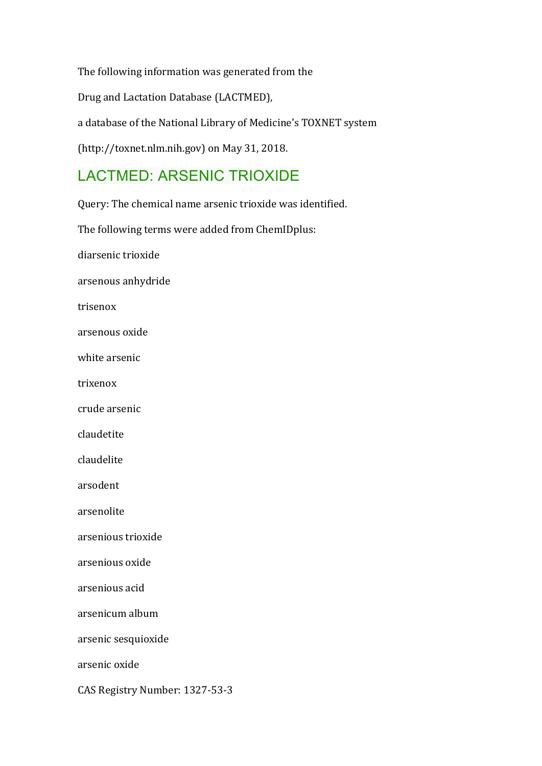The following information was generated from the Drug and Lactation Database (LACTMED), a database of the National Library of Medicine's TOXNET system (http://toxnet.nlm.nih.gov) on May 31, 2018.

# LACTMED: ARSENIC TRIOXIDE

Query: The chemical name arsenic trioxide was identified.

The following terms were added from ChemIDplus:

diarsenic trioxide

arsenous anhydride

trisenox

arsenous oxide

white arsenic

trixenox

crude arsenic

claudetite

claudelite

arsodent

arsenolite

arsenious trioxide

arsenious oxide

arsenious acid

arsenicum album

arsenic sesquioxide

arsenic oxide

CAS Registry Number: 1327-53-3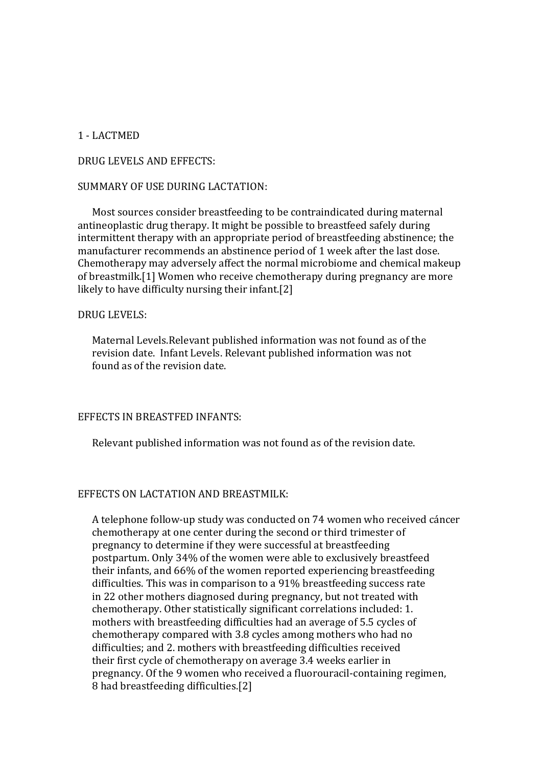## 1 - LACTMED

## DRUG LEVELS AND EFFECTS:

## SUMMARY OF USE DURING LACTATION:

Most sources consider breastfeeding to be contraindicated during maternal antineoplastic drug therapy. It might be possible to breastfeed safely during intermittent therapy with an appropriate period of breastfeeding abstinence; the manufacturer recommends an abstinence period of 1 week after the last dose. Chemotherapy may adversely affect the normal microbiome and chemical makeup of breastmilk.[1] Women who receive chemotherapy during pregnancy are more likely to have difficulty nursing their infant.[2]

## DRUG LEVELS:

Maternal Levels.Relevant published information was not found as of the revision date. Infant Levels. Relevant published information was not found as of the revision date.

## EFFECTS IN BREASTFED INFANTS:

Relevant published information was not found as of the revision date.

## EFFECTS ON LACTATION AND BREASTMILK:

A telephone follow-up study was conducted on 74 women who received cáncer chemotherapy at one center during the second or third trimester of pregnancy to determine if they were successful at breastfeeding postpartum. Only 34% of the women were able to exclusively breastfeed their infants, and 66% of the women reported experiencing breastfeeding difficulties. This was in comparison to a 91% breastfeeding success rate in 22 other mothers diagnosed during pregnancy, but not treated with chemotherapy. Other statistically significant correlations included: 1. mothers with breastfeeding difficulties had an average of 5.5 cycles of chemotherapy compared with 3.8 cycles among mothers who had no difficulties; and 2. mothers with breastfeeding difficulties received their first cycle of chemotherapy on average 3.4 weeks earlier in pregnancy. Of the 9 women who received a fluorouracil-containing regimen, 8 had breastfeeding difficulties.[2]